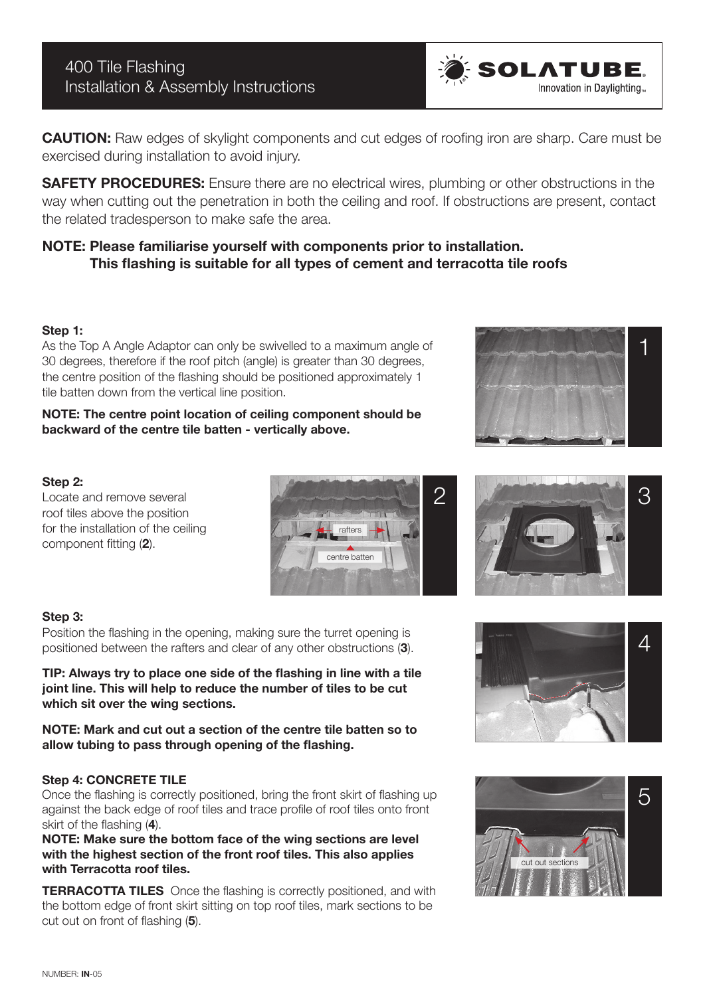**CAUTION:** Raw edges of skylight components and cut edges of roofing iron are sharp. Care must be exercised during installation to avoid injury.

**SAFETY PROCEDURES:** Ensure there are no electrical wires, plumbing or other obstructions in the way when cutting out the penetration in both the ceiling and roof. If obstructions are present, contact the related tradesperson to make safe the area.

# **NOTE: Please familiarise yourself with components prior to installation. This flashing is suitable for all types of cement and terracotta tile roofs**

### **Step 1:**

As the Top A Angle Adaptor can only be swivelled to a maximum angle of 30 degrees, therefore if the roof pitch (angle) is greater than 30 degrees, the centre position of the flashing should be positioned approximately 1 tile batten down from the vertical line position.

**NOTE: The centre point location of ceiling component should be backward of the centre tile batten - vertically above.**

#### **Step 2:**

Locate and remove several roof tiles above the position for the installation of the ceiling component fitting (**2**).



#### **Step 3:**

Position the flashing in the opening, making sure the turret opening is positioned between the rafters and clear of any other obstructions (**3**).

**TIP: Always try to place one side of the flashing in line with a tile joint line. This will help to reduce the number of tiles to be cut which sit over the wing sections.** 

**NOTE: Mark and cut out a section of the centre tile batten so to allow tubing to pass through opening of the flashing.**

#### **Step 4: CONCRETE TILE**

Once the flashing is correctly positioned, bring the front skirt of flashing up against the back edge of roof tiles and trace profile of roof tiles onto front skirt of the flashing (**4**).

**NOTE: Make sure the bottom face of the wing sections are level with the highest section of the front roof tiles. This also applies with Terracotta roof tiles.** 

**TERRACOTTA TILES** Once the flashing is correctly positioned, and with the bottom edge of front skirt sitting on top roof tiles, mark sections to be cut out on front of flashing (**5**).



**SOLATUBE.** 

Innovation in Davlighting





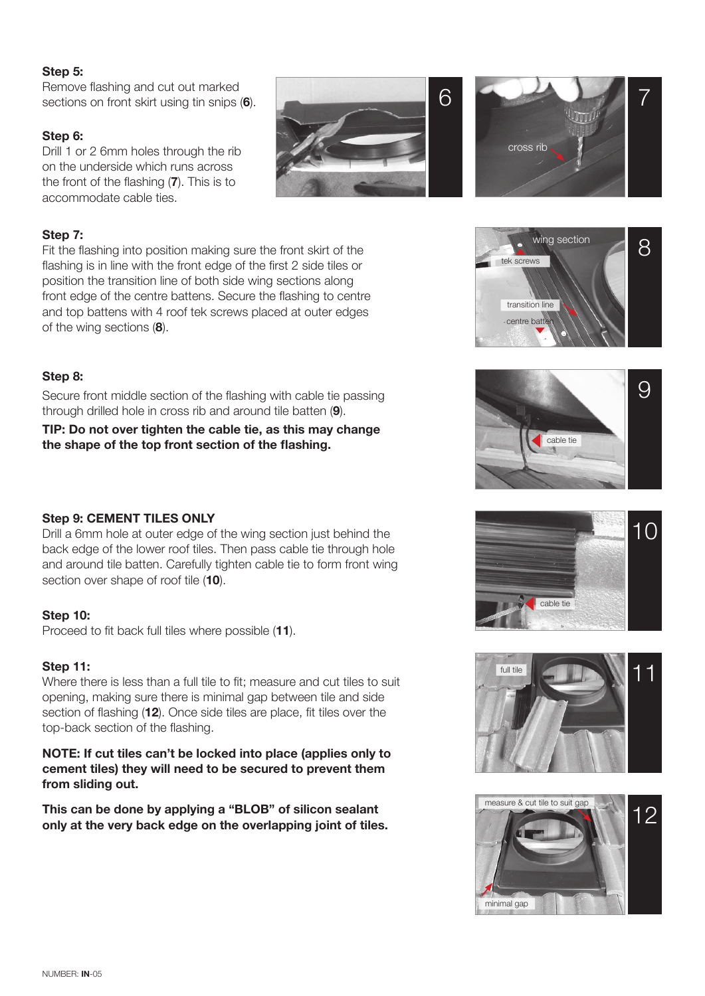### **Step 5:**

Remove flashing and cut out marked sections on front skirt using tin snips (**6**).

### **Step 6:**

**Step 7:**

Drill 1 or 2 6mm holes through the rib on the underside which runs across the front of the flashing (**7**). This is to accommodate cable ties.









of the wing sections (**8**).

Secure front middle section of the flashing with cable tie passing through drilled hole in cross rib and around tile batten (**9**).

Fit the flashing into position making sure the front skirt of the flashing is in line with the front edge of the first 2 side tiles or position the transition line of both side wing sections along front edge of the centre battens. Secure the flashing to centre and top battens with 4 roof tek screws placed at outer edges

**TIP: Do not over tighten the cable tie, as this may change the shape of the top front section of the flashing.**

#### **Step 9: CEMENT TILES ONLY**

Drill a 6mm hole at outer edge of the wing section just behind the back edge of the lower roof tiles. Then pass cable tie through hole and around tile batten. Carefully tighten cable tie to form front wing section over shape of roof tile (**10**).

#### **Step 10:**

Proceed to fit back full tiles where possible (**11**).

#### **Step 11:**

Where there is less than a full tile to fit; measure and cut tiles to suit opening, making sure there is minimal gap between tile and side section of flashing (**12**). Once side tiles are place, fit tiles over the top-back section of the flashing.

**NOTE: If cut tiles can't be locked into place (applies only to cement tiles) they will need to be secured to prevent them from sliding out.**

**This can be done by applying a "BLOB" of silicon sealant only at the very back edge on the overlapping joint of tiles.**